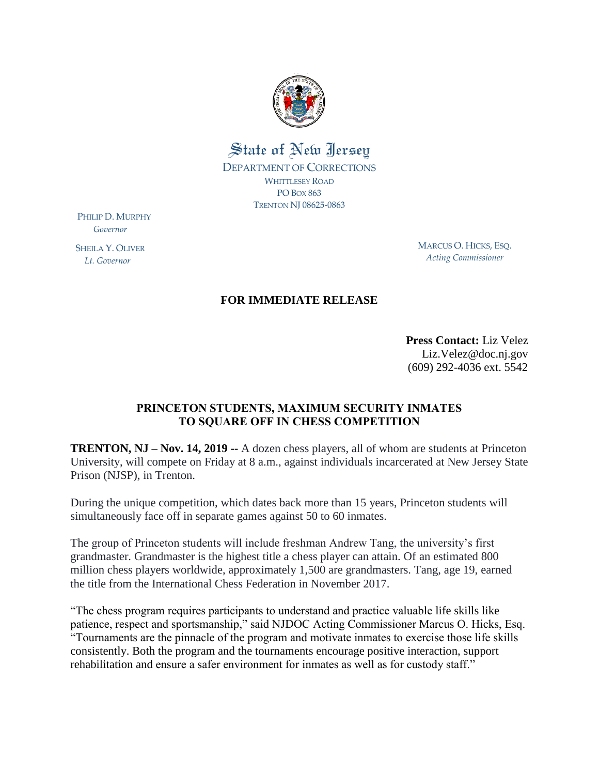

## State of New Jersey DEPARTMENT OF CORRECTIONS WHITTLESEY ROAD PO BOX 863 TRENTON NJ 08625-0863

PHILIP D. MURPHY  *Governor*

SHEILA Y. OLIVER  *Lt. Governor*

MARCUS O. HICKS, ESQ. *Acting Commissioner*

## **FOR IMMEDIATE RELEASE**

**Press Contact:** Liz Velez Liz.Velez@doc.nj.gov (609) 292-4036 ext. 5542

## **PRINCETON STUDENTS, MAXIMUM SECURITY INMATES TO SQUARE OFF IN CHESS COMPETITION**

**TRENTON, NJ – Nov. 14, 2019 --** A dozen chess players, all of whom are students at Princeton University, will compete on Friday at 8 a.m., against individuals incarcerated at New Jersey State Prison (NJSP), in Trenton.

During the unique competition, which dates back more than 15 years, Princeton students will simultaneously face off in separate games against 50 to 60 inmates.

The group of Princeton students will include freshman Andrew Tang, the university's first grandmaster. Grandmaster is the highest title a chess player can attain. Of an estimated 800 million chess players worldwide, approximately 1,500 are grandmasters. Tang, age 19, earned the title from the International Chess Federation in November 2017.

"The chess program requires participants to understand and practice valuable life skills like patience, respect and sportsmanship," said NJDOC Acting Commissioner Marcus O. Hicks, Esq. "Tournaments are the pinnacle of the program and motivate inmates to exercise those life skills consistently. Both the program and the tournaments encourage positive interaction, support rehabilitation and ensure a safer environment for inmates as well as for custody staff."